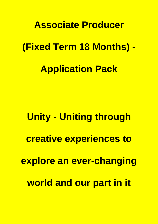# **Associate Producer (Fixed Term 18 Months) - Application Pack**

**Unity - Uniting through creative experiences to explore an ever-changing world and our part in it**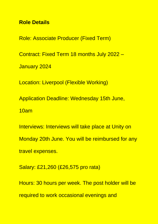## **Role Details**

Role: Associate Producer (Fixed Term) Contract: Fixed Term 18 months July 2022 – January 2024 Location: Liverpool (Flexible Working) Application Deadline: Wednesday 15th June, 10am Interviews: Interviews will take place at Unity on

Monday 20th June. You will be reimbursed for any travel expenses.

Salary: £21,260 (£26,575 pro rata)

Hours: 30 hours per week. The post holder will be required to work occasional evenings and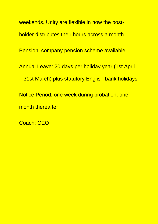weekends. Unity are flexible in how the postholder distributes their hours across a month. Pension: company pension scheme available Annual Leave: 20 days per holiday year (1st April – 31st March) plus statutory English bank holidays Notice Period: one week during probation, one month thereafter

Coach: CEO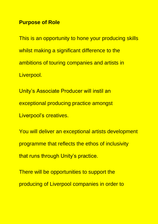## **Purpose of Role**

This is an opportunity to hone your producing skills whilst making a significant difference to the ambitions of touring companies and artists in Liverpool.

Unity's Associate Producer will instil an exceptional producing practice amongst Liverpool's creatives.

You will deliver an exceptional artists development programme that reflects the ethos of inclusivity that runs through Unity's practice.

There will be opportunities to support the producing of Liverpool companies in order to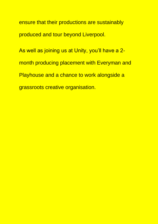ensure that their productions are sustainably produced and tour beyond Liverpool.

As well as joining us at Unity, you'll have a 2month producing placement with Everyman and Playhouse and a chance to work alongside a grassroots creative organisation.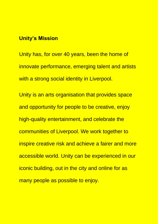### **Unity's Mission**

Unity has, for over 40 years, been the home of innovate performance, emerging talent and artists with a strong social identity in Liverpool.

Unity is an arts organisation that provides space and opportunity for people to be creative, enjoy high-quality entertainment, and celebrate the communities of Liverpool. We work together to inspire creative risk and achieve a fairer and more accessible world. Unity can be experienced in our iconic building, out in the city and online for as many people as possible to enjoy.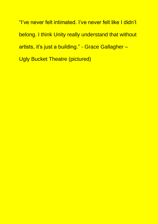"I've never felt intimated. I've never felt like I didn't belong. I think Unity really understand that without artists, it's just a building." - Grace Gallagher – Ugly Bucket Theatre (pictured)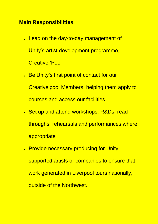# **Main Responsibilities**

- Lead on the day-to-day management of Unity's artist development programme, Creative 'Pool
- Be Unity's first point of contact for our Creative'pool Members, helping them apply to courses and access our facilities
- Set up and attend workshops, R&Ds, readthroughs, rehearsals and performances where appropriate
- Provide necessary producing for Unitysupported artists or companies to ensure that work generated in Liverpool tours nationally, outside of the Northwest.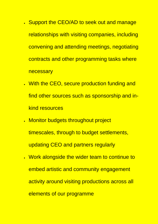- Support the CEO/AD to seek out and manage relationships with visiting companies, including convening and attending meetings, negotiating contracts and other programming tasks where necessary
- With the CEO, secure production funding and find other sources such as sponsorship and inkind resources
- Monitor budgets throughout project timescales, through to budget settlements, updating CEO and partners regularly
- Work alongside the wider team to continue to embed artistic and community engagement activity around visiting productions across all elements of our programme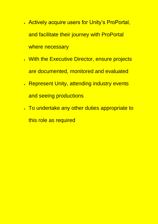- Actively acquire users for Unity's ProPortal, and facilitate their journey with ProPortal where necessary
- With the Executive Director, ensure projects are documented, monitored and evaluated
- Represent Unity, attending industry events and seeing productions
- To undertake any other duties appropriate to this role as required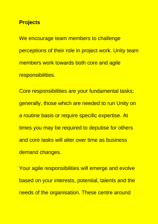#### **Projects**

We encourage team members to challenge perceptions of their role in project work. Unity team members work towards both core and agile responsibilities.

Core responsibilities are your fundamental tasks; generally, those which are needed to run Unity on a routine basis or require specific expertise. At times you may be required to deputise for others and core tasks will alter over time as business demand changes.

Your agile responsibilities will emerge and evolve based on your interests, potential, talents and the needs of the organisation. These centre around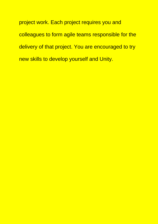project work. Each project requires you and colleagues to form agile teams responsible for the delivery of that project. You are encouraged to try new skills to develop yourself and Unity.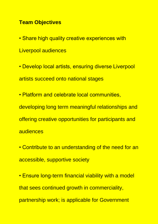## **Team Objectives**

- Share high quality creative experiences with Liverpool audiences
- Develop local artists, ensuring diverse Liverpool artists succeed onto national stages
- Platform and celebrate local communities, developing long term meaningful relationships and offering creative opportunities for participants and audiences
- Contribute to an understanding of the need for an accessible, supportive society
- Ensure long-term financial viability with a model that sees continued growth in commerciality, partnership work; is applicable for Government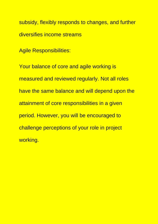subsidy, flexibly responds to changes, and further diversifies income streams

Agile Responsibilities:

Your balance of core and agile working is measured and reviewed regularly. Not all roles have the same balance and will depend upon the attainment of core responsibilities in a given period. However, you will be encouraged to challenge perceptions of your role in project working.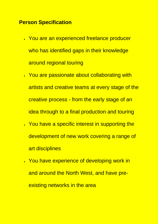# **Person Specification**

- You are an experienced freelance producer who has identified gaps in their knowledge around regional touring
- You are passionate about collaborating with artists and creative teams at every stage of the creative process - from the early stage of an idea through to a final production and touring
- You have a specific interest in supporting the development of new work covering a range of art disciplines
- You have experience of developing work in and around the North West, and have preexisting networks in the area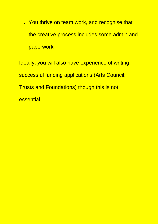• You thrive on team work, and recognise that the creative process includes some admin and paperwork

Ideally, you will also have experience of writing successful funding applications (Arts Council; Trusts and Foundations) though this is not essential.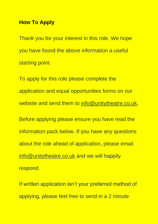### **How To Apply**

Thank you for your interest in this role. We hope you have found the above information a useful starting point.

To apply for this role please complete the application and equal opportunities forms on our website and send them to [info@unitytheatre.co.uk.](mailto:info@unitytheatre.co.uk) Before applying please ensure you have read the information pack below. If you have any questions about the role ahead of application, please email [info@unitytheatre.co.uk](mailto:info@unitytheatre.co.uk) and we will happily respond.

If written application isn't your preferred method of applying, please feel free to send in a 2 minute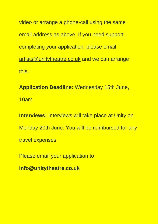video or arrange a phone-call using the same email address as above. If you need support completing your application, please email [artists@unitytheatre.co.uk](mailto:artists@unitytheatre.co.uk) and we can arrange this.

**Application Deadline:** Wednesday 15th June, 10am

**Interviews:** Interviews will take place at Unity on Monday 20th June. You will be reimbursed for any travel expenses.

Please email your application to

**info@unitytheatre.co.uk**